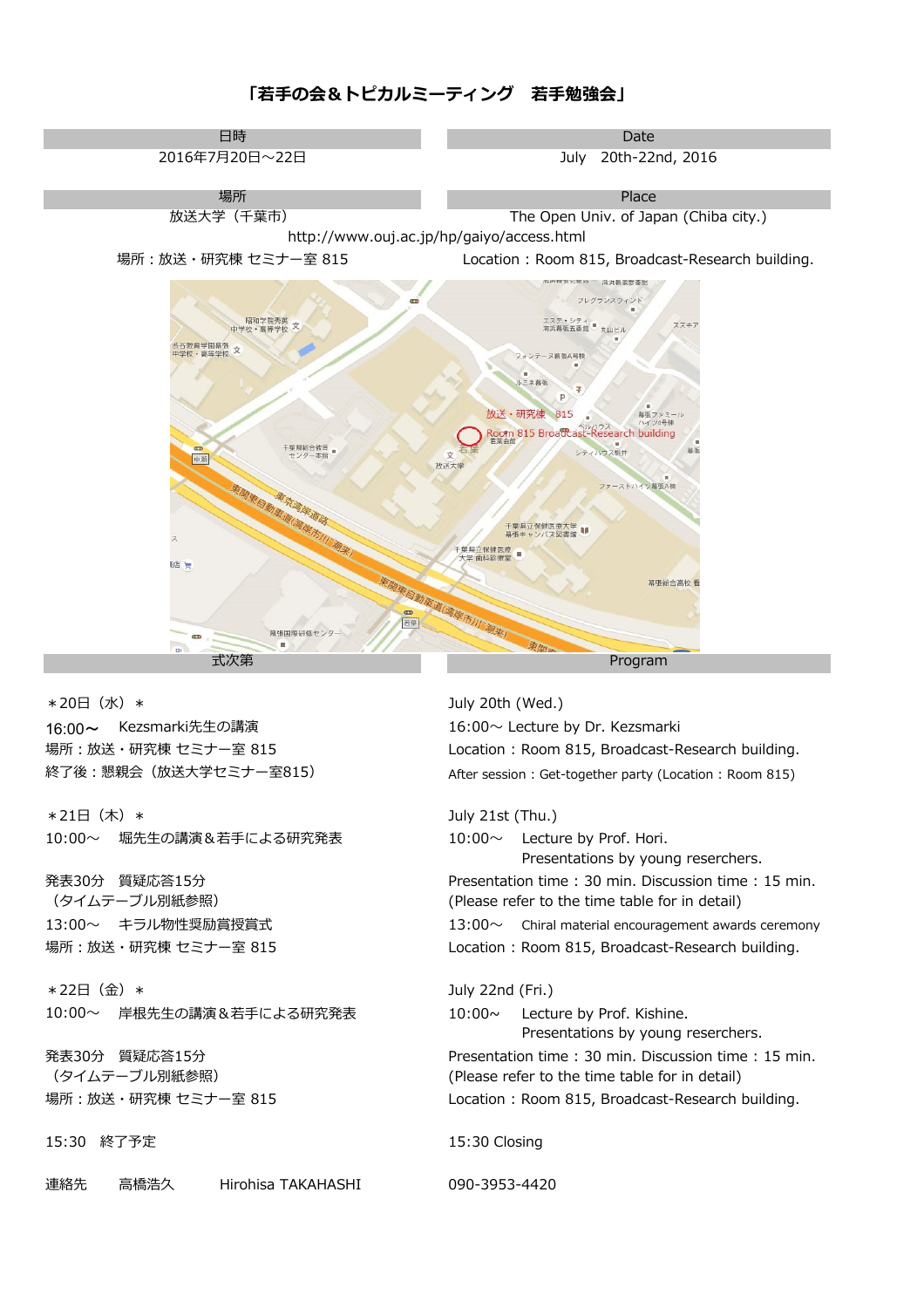### **「若手の会&トピカルミーティング 若手勉強会」**



\*20日(水)\* 16:00~ Kezsmarki先生の講演 16:00~ Lecture by Dr. Kezsmarki 場所:放送・研究棟 セミナー室 815 終了後:懇親会(放送大学セミナー室815)

堀先生の講演&若手による研究発表 10:00~ 10:00~ Lecture by Prof. Hori. \*21日(木)\*

発表30分 質疑応答15分 13:00~ キラル物性奨励賞授賞式 場所:放送・研究棟 セミナー室 815

岸根先生の講演&若手による研究発表 10:00~ Lecture by Prof. Kishine. \*22日(金)\*  $10:00 \sim$ 

発表30分 質疑応答15分 場所:放送・研究棟 セミナー室 815

15:30 終了予定

連絡先 高橋浩久 Hirohisa TAKAHASHI 090-3953-4420

July 20th (Wed.) Location : Room 815, Broadcast-Research building. After session : Get-together party (Location : Room 815)

July 21st (Thu.) Presentations by young reserchers. Presentation time : 30 min. Discussion time : 15 min. (タイムテーブル別紙参照) (Please refer to the time table for in detail)  $13:00\sim$  Chiral material encouragement awards ceremony Location : Room 815, Broadcast-Research building. July 22nd (Fri.)

Presentations by young reserchers. Presentation time : 30 min. Discussion time : 15 min. (タイムテーブル別紙参照) インディング (Please refer to the time table for in detail) Location : Room 815, Broadcast-Research building.

15:30 Closing